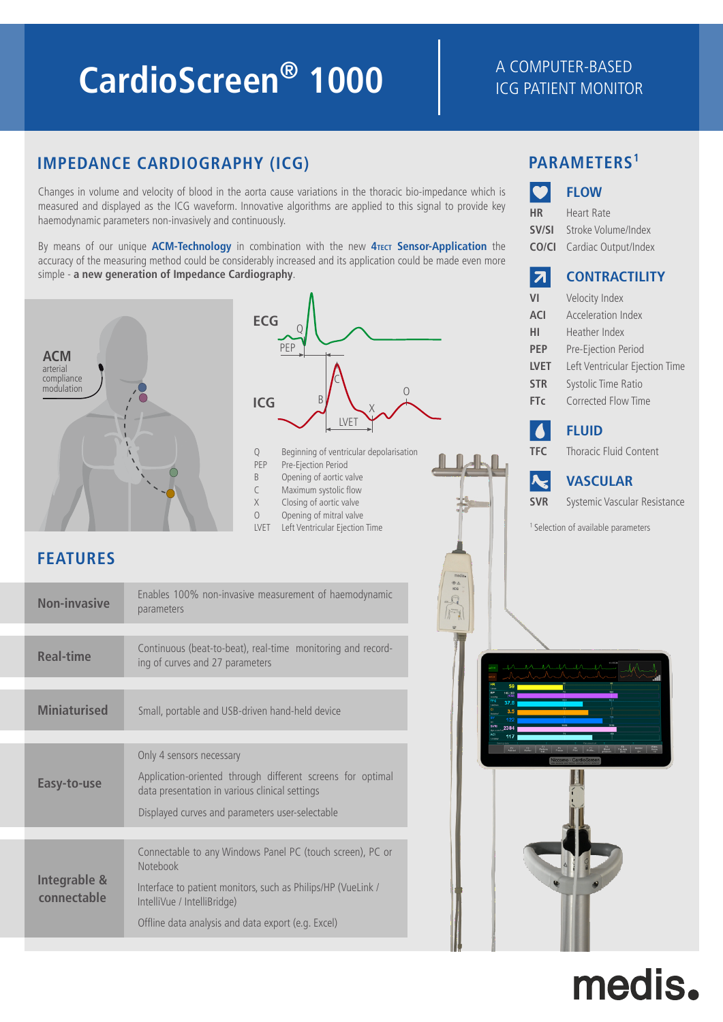# **CardioScreen<sup>®</sup> 1000** A COMPUTER-BASED

### ICG PATIENT MONITOR

**FLOW**

**SV/SI** Stroke Volume/Index **CO/CI** Cardiac Output/Index

Heart Rate

**HR**

### **IMPEDANCE CARDIOGRAPHY (ICG) PARAMETERS<sup>1</sup>**

Changes in volume and velocity of blood in the aorta cause variations in the thoracic bio-impedance which is measured and displayed as the ICG waveform. Innovative algorithms are applied to this signal to provide key haemodynamic parameters non-invasively and continuously.

By means of our unique **ACM-Technology** in combination with the new **4TECT Sensor-Application** the accuracy of the measuring method could be considerably increased and its application could be made even more simple - **a new generation of Impedance Cardiography**.



## medis.